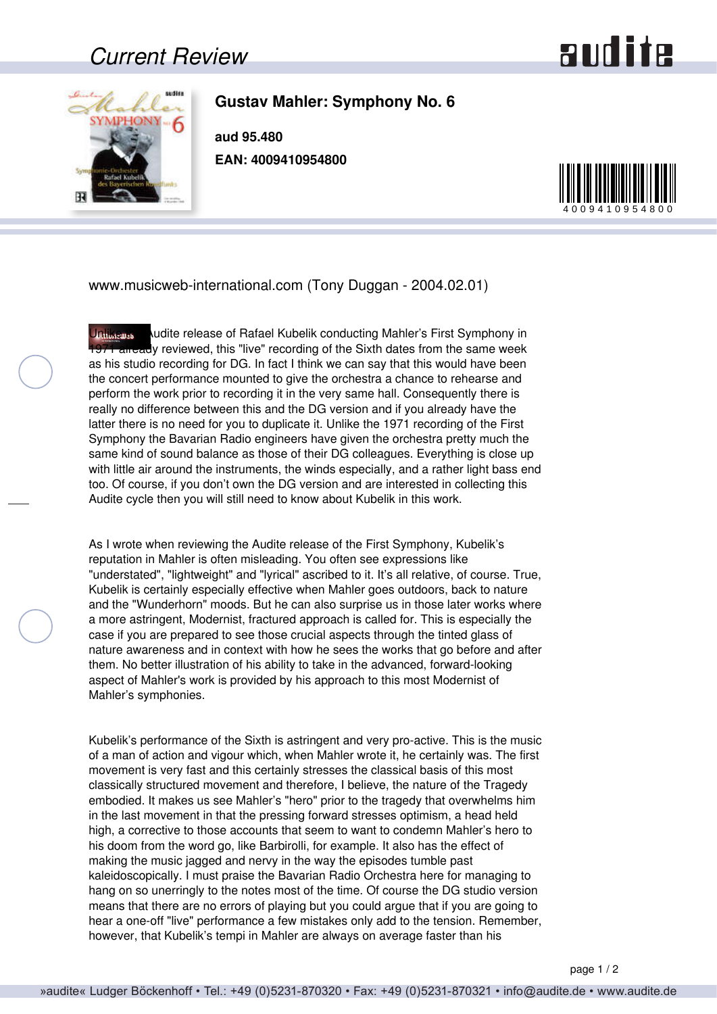## *Current Review*



**Gustav Mahler: Symphony No. 6**

**aud 95.480 EAN: 4009410954800**



www.musicweb-international.com (Tony Duggan - 2004.02.01)

Unlike the Audite release of Rafael Kubelik conducting Mahler's First Symphony in 1971 already reviewed, this "live" recording of the Sixth dates from the same week as his studio recording for DG. In fact I think we can say that this would have been the concert performance mounted to give the orchestra a chance to rehearse and perform the work prior to recording it in the very same hall. Consequently there is really no difference between this and the DG version and if you already have the latter there is no need for you to duplicate it. Unlike the 1971 recording of the First Symphony the Bavarian Radio engineers have given the orchestra pretty much the same kind of sound balance as those of their DG colleagues. Everything is close up with little air around the instruments, the winds especially, and a rather light bass end too. Of course, if you don't own the DG version and are interested in collecting this Audite cycle then you will still need to know about Kubelik in this work.

As I wrote when reviewing the Audite release of the First Symphony, Kubelik's reputation in Mahler is often misleading. You often see expressions like "understated", "lightweight" and "lyrical" ascribed to it. It's all relative, of course. True, Kubelik is certainly especially effective when Mahler goes outdoors, back to nature and the "Wunderhorn" moods. But he can also surprise us in those later works where a more astringent, Modernist, fractured approach is called for. This is especially the case if you are prepared to see those crucial aspects through the tinted glass of nature awareness and in context with how he sees the works that go before and after them. No better illustration of his ability to take in the advanced, forward-looking aspect of Mahler's work is provided by his approach to this most Modernist of Mahler's symphonies.

Kubelik's performance of the Sixth is astringent and very pro-active. This is the music of a man of action and vigour which, when Mahler wrote it, he certainly was. The first movement is very fast and this certainly stresses the classical basis of this most classically structured movement and therefore, I believe, the nature of the Tragedy embodied. It makes us see Mahler's "hero" prior to the tragedy that overwhelms him in the last movement in that the pressing forward stresses optimism, a head held high, a corrective to those accounts that seem to want to condemn Mahler's hero to his doom from the word go, like Barbirolli, for example. It also has the effect of making the music jagged and nervy in the way the episodes tumble past kaleidoscopically. I must praise the Bavarian Radio Orchestra here for managing to hang on so unerringly to the notes most of the time. Of course the DG studio version means that there are no errors of playing but you could argue that if you are going to hear a one-off "live" performance a few mistakes only add to the tension. Remember, however, that Kubelik's tempi in Mahler are always on average faster than his